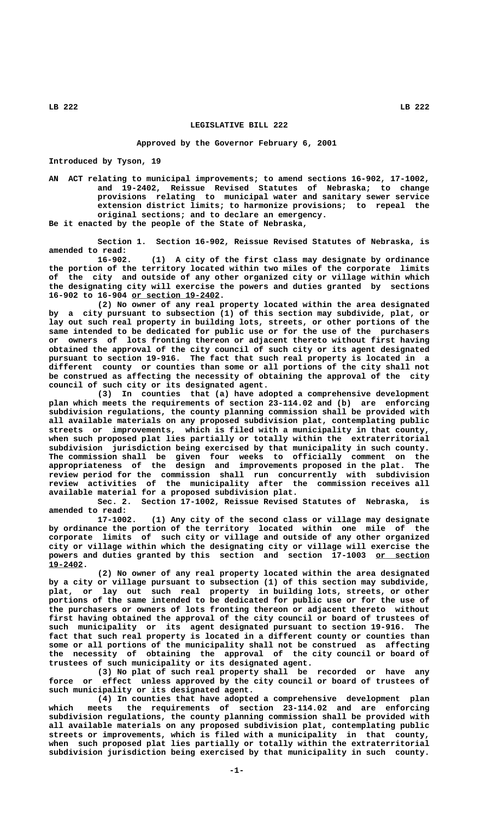## **LEGISLATIVE BILL 222**

## **Approved by the Governor February 6, 2001**

**Introduced by Tyson, 19**

**AN ACT relating to municipal improvements; to amend sections 16-902, 17-1002, and 19-2402, Reissue Revised Statutes of Nebraska; to change provisions relating to municipal water and sanitary sewer service extension district limits; to harmonize provisions; to repeal the original sections; and to declare an emergency. Be it enacted by the people of the State of Nebraska,**

**Section 1. Section 16-902, Reissue Revised Statutes of Nebraska, is amended to read:**

**16-902. (1) A city of the first class may designate by ordinance the portion of the territory located within two miles of the corporate limits of the city and outside of any other organized city or village within which the designating city will exercise the powers and duties granted by sections \_\_\_\_\_\_\_\_\_\_\_\_\_\_\_\_\_\_ 16-902 to 16-904 or section 19-2402.**

**(2) No owner of any real property located within the area designated by a city pursuant to subsection (1) of this section may subdivide, plat, or lay out such real property in building lots, streets, or other portions of the same intended to be dedicated for public use or for the use of the purchasers or owners of lots fronting thereon or adjacent thereto without first having obtained the approval of the city council of such city or its agent designated pursuant to section 19-916. The fact that such real property is located in a different county or counties than some or all portions of the city shall not be construed as affecting the necessity of obtaining the approval of the city council of such city or its designated agent.**

**(3) In counties that (a) have adopted a comprehensive development plan which meets the requirements of section 23-114.02 and (b) are enforcing subdivision regulations, the county planning commission shall be provided with all available materials on any proposed subdivision plat, contemplating public streets or improvements, which is filed with a municipality in that county, when such proposed plat lies partially or totally within the extraterritorial subdivision jurisdiction being exercised by that municipality in such county. The commission shall be given four weeks to officially comment on the appropriateness of the design and improvements proposed in the plat. The review period for the commission shall run concurrently with subdivision review activities of the municipality after the commission receives all available material for a proposed subdivision plat.**

**Sec. 2. Section 17-1002, Reissue Revised Statutes of Nebraska, is amended to read:**

**17-1002. (1) Any city of the second class or village may designate by ordinance the portion of the territory located within one mile of the corporate limits of such city or village and outside of any other organized city or village within which the designating city or village will exercise the** powers and duties granted by this section and section 17-1003 or section  **19-2402. \_\_\_\_\_\_\_**

**(2) No owner of any real property located within the area designated by a city or village pursuant to subsection (1) of this section may subdivide, plat, or lay out such real property in building lots, streets, or other portions of the same intended to be dedicated for public use or for the use of the purchasers or owners of lots fronting thereon or adjacent thereto without first having obtained the approval of the city council or board of trustees of such municipality or its agent designated pursuant to section 19-916. The fact that such real property is located in a different county or counties than some or all portions of the municipality shall not be construed as affecting the necessity of obtaining the approval of the city council or board of trustees of such municipality or its designated agent.**

**(3) No plat of such real property shall be recorded or have any force or effect unless approved by the city council or board of trustees of such municipality or its designated agent.**

**(4) In counties that have adopted a comprehensive development plan which meets the requirements of section 23-114.02 and are enforcing subdivision regulations, the county planning commission shall be provided with all available materials on any proposed subdivision plat, contemplating public streets or improvements, which is filed with a municipality in that county, when such proposed plat lies partially or totally within the extraterritorial subdivision jurisdiction being exercised by that municipality in such county.**